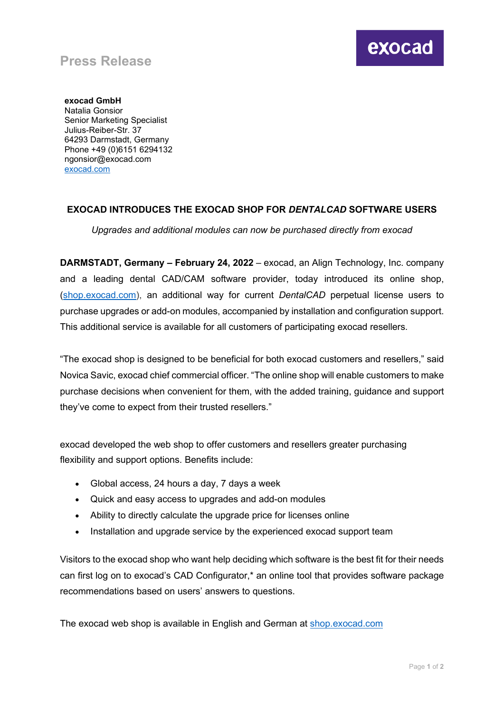## **Press Release**

**exocad GmbH** Natalia Gonsior Senior Marketing Specialist Julius-Reiber-Str. 37 64293 Darmstadt, Germany Phone +49 (0)6151 6294132 ngonsior@exocad.com [exocad.com](http://www.exocad.com/)

## **EXOCAD INTRODUCES THE EXOCAD SHOP FOR** *DENTALCAD* **SOFTWARE USERS**

*Upgrades and additional modules can now be purchased directly from exocad*

**DARMSTADT, Germany – February 24, 2022** – exocad, an Align Technology, Inc. company and a leading dental CAD/CAM software provider, today introduced its online shop, [\(shop.exocad.com\)](https://shop.exocad.com/en_en/), an additional way for current *DentalCAD* perpetual license users to purchase upgrades or add-on modules, accompanied by installation and configuration support. This additional service is available for all customers of participating exocad resellers.

"The exocad shop is designed to be beneficial for both exocad customers and resellers," said Novica Savic, exocad chief commercial officer. "The online shop will enable customers to make purchase decisions when convenient for them, with the added training, guidance and support they've come to expect from their trusted resellers."

exocad developed the web shop to offer customers and resellers greater purchasing flexibility and support options. Benefits include:

- Global access, 24 hours a day, 7 days a week
- Quick and easy access to upgrades and add-on modules
- Ability to directly calculate the upgrade price for licenses online
- Installation and upgrade service by the experienced exocad support team

Visitors to the exocad shop who want help deciding which software is the best fit for their needs can first log on to exocad's CAD Configurator,\* an online tool that provides software package recommendations based on users' answers to questions.

The exocad web shop is available in English and German at [shop.exocad.com](https://shop.exocad.com/en_en/)